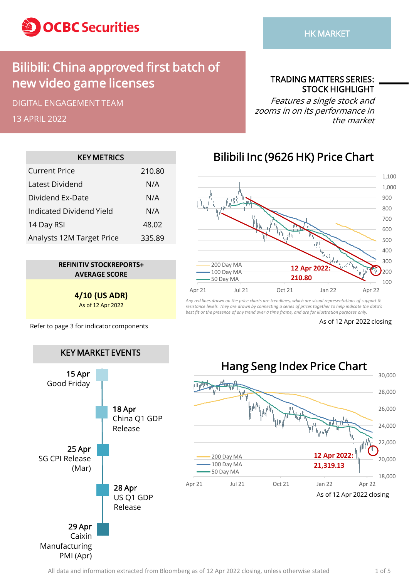

## Bilibili: China approved first batch of new video game licenses

DIGITAL ENGAGEMENT TEAM

13 APRIL 2022

TRADING MATTERS SERIES: STOCK HIGHLIGHT

Features a single stock and zooms in on its performance in the market

| <b>KEY METRICS</b>        |        |  |  |  |  |  |  |
|---------------------------|--------|--|--|--|--|--|--|
| Current Price             | 210.80 |  |  |  |  |  |  |
| Latest Dividend           | N/A    |  |  |  |  |  |  |
| Dividend Ex-Date          | N/A    |  |  |  |  |  |  |
| Indicated Dividend Yield  | N/A    |  |  |  |  |  |  |
| 14 Day RSI                | 48.02  |  |  |  |  |  |  |
| Analysts 12M Target Price | 335.89 |  |  |  |  |  |  |

**REFINITIV STOCKREPORTS+ AVERAGE SCORE**

> **4/10 (US ADR)** As of 12 Apr 2022

Refer to page 3 for indicator components As of 12 Apr 2022 closing



#### Bilibili Inc (9626 HK) Price Chart



*Any red lines drawn on the price charts are trendlines, which are visual representations of support & resistance levels. They are drawn by connecting a series of prices together to help indicate the data's best fit or the presence of any trend over a time frame, and are for illustration purposes only.*

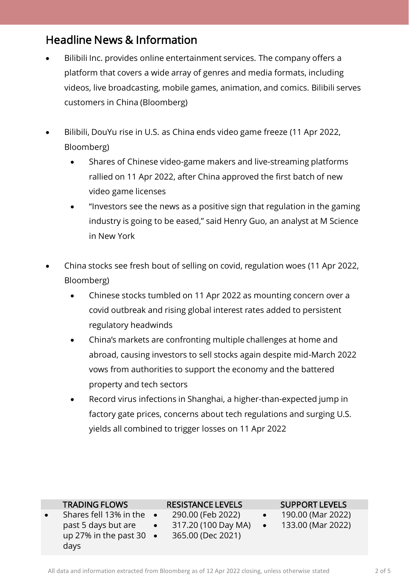#### Headline News & Information

- Bilibili Inc. provides online entertainment services. The company offers a platform that covers a wide array of genres and media formats, including videos, live broadcasting, mobile games, animation, and comics. Bilibili serves customers in China (Bloomberg)
- Bilibili, DouYu rise in U.S. as China ends video game freeze (11 Apr 2022, Bloomberg)
	- Shares of Chinese video-game makers and live-streaming platforms rallied on 11 Apr 2022, after China approved the first batch of new video game licenses
	- "Investors see the news as a positive sign that regulation in the gaming industry is going to be eased," said Henry Guo, an analyst at M Science in New York
- China stocks see fresh bout of selling on covid, regulation woes (11 Apr 2022, Bloomberg)
	- Chinese stocks tumbled on 11 Apr 2022 as mounting concern over a covid outbreak and rising global interest rates added to persistent regulatory headwinds
	- China's markets are confronting multiple challenges at home and abroad, causing investors to sell stocks again despite mid-March 2022 vows from authorities to support the economy and the battered property and tech sectors
	- Record virus infections in Shanghai, a higher-than-expected jump in factory gate prices, concerns about tech regulations and surging U.S. yields all combined to trigger losses on 11 Apr 2022

|           | <b>TRADING FLOWS</b>             |           | <b>RESISTANCE LEVELS</b> | <b>SUPPORT LEVELS</b> |
|-----------|----------------------------------|-----------|--------------------------|-----------------------|
| $\bullet$ | Shares fell 13% in the $\bullet$ |           | 290.00 (Feb 2022)        | 190.00 (Mar 2022)     |
|           | past 5 days but are              | $\bullet$ | 317.20 (100 Day MA)      | 133.00 (Mar 2022)     |
|           | up 27% in the past 30 $\bullet$  |           | 365.00 (Dec 2021)        |                       |
|           | days                             |           |                          |                       |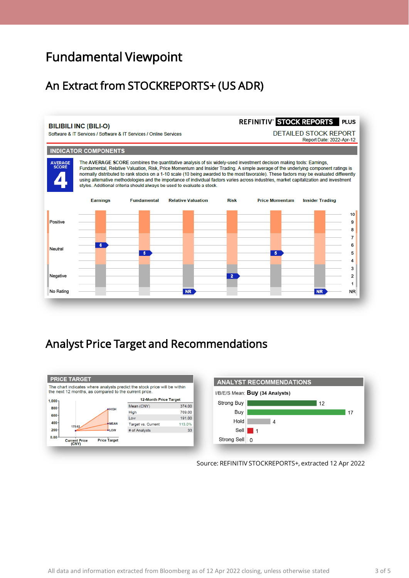## Fundamental Viewpoint

### An Extract from STOCKREPORTS+ (US ADR)



#### Analyst Price Target and Recommendations





Source: REFINITIV STOCKREPORTS+, extracted 12 Apr 2022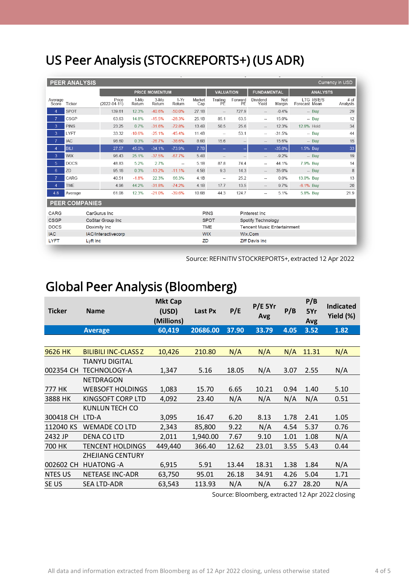# US Peer Analysis (STOCKREPORTS+) (US ADR)

| <b>PEER ANALYSIS</b><br>Currency in USD |                     |              |                             |                |                  |                          |                        |                                                  |                     |                          |               |                              |                  |
|-----------------------------------------|---------------------|--------------|-----------------------------|----------------|------------------|--------------------------|------------------------|--------------------------------------------------|---------------------|--------------------------|---------------|------------------------------|------------------|
|                                         |                     |              | <b>PRICE MOMENTUM</b>       |                |                  |                          |                        | <b>VALUATION</b><br><b>FUNDAMENTAL</b>           |                     |                          |               | <b>ANALYSTS</b>              |                  |
| Average<br>Score                        | Ticker              |              | Price<br>$(2022 - 04 - 11)$ | 1-Mo<br>Return | $3-MO$<br>Return | $1-Yr$<br>Return         | Market<br>Cap          | Trailing<br>РĔ                                   | Forward<br>PE       | Dividend<br>Yield        | Net<br>Margin | LTG I/B/E/S<br>Forecast Mean | # of<br>Analysts |
| $\overline{4}$                          | <b>SPOT</b>         |              | 139.61                      | 12.3%          | $-40.6%$         | $-50.0%$                 | 27.1B                  | $\overline{\phantom{0}}$                         | 727.9               | $\overline{\phantom{0}}$ | $-0.4%$       | $-$ Buy                      | 29               |
| $\overline{7}$                          | <b>CSGP</b>         |              | 63.63                       | 14.8%          | $-15.5%$         | $-28.3%$                 | 25.1B                  | 85.1                                             | 63.5                | $\overline{\phantom{a}}$ | 15.0%         | $-$ Buy                      | 12               |
| 3                                       | <b>PINS</b>         |              | 23.25                       | 0.7%           | $-31.6%$         | $-72.8%$                 | 13.4B                  | 50.5                                             | 25.6                | $-\,$                    | 12.3%         | 12.8% Hold                   | 34               |
| 3                                       | LYFT                |              | 33.32                       | $-10.6%$       | $-25.1%$         | $-45.4%$                 | 11.4B                  | $\hspace{0.05cm} -\hspace{0.05cm}$               | 53.1                | $\overline{\phantom{a}}$ | $-31.5%$      | -- Buy                       | 44               |
| $\overline{7}$                          | <b>IAC</b>          |              | 98.60                       | 0.3%           | $-26.7%$         | $-38.6%$                 | 8.6B                   | 15.6                                             | $\hspace{0.05cm} -$ | $\hspace{0.05cm} -$      | 15.6%         | $-$ Buy                      | 15               |
| $\overline{4}$                          | <b>BILI</b>         |              | 27.57                       | 45.0%          | $-34.1%$         | $-73.9%$                 | 7.7B                   | $\overline{\phantom{a}}$                         |                     | ш,                       | $-35.0%$      | 1.5% Buy                     | 33               |
| 3                                       | <b>WIX</b>          |              | 96.43                       | 25.1%          | $-37.5%$         | $-67.7%$                 | 5.4B                   | $\qquad \qquad -$                                |                     | $-\!$                    | $-9.2%$       | $-$ Buy                      | 19               |
| 5 <sup>5</sup>                          | <b>DOCS</b>         |              | 48.83                       | 5.2%           | 2.7%             | $\overline{\phantom{a}}$ | 5.1B                   | 87.8                                             | 74.4                | $\overline{\phantom{a}}$ | 44.1%         | 7.9% Buy                     | 14               |
| $6^{\circ}$                             | ZD                  |              | 95.18                       | 0.3%           | $-13.2%$         | $-11.1%$                 | 4.5B                   | 9.3                                              | 14.3                | $\hspace{0.05cm} -$      | 35.0%         | $-$ Buv                      | 8                |
| $\overline{7}$                          | CARG                |              | 40.51                       | $-1.8%$        | 22.3%            | 66.3%                    | 4.1B                   | $\overline{\phantom{a}}$                         | 25.2                | $\overline{\phantom{a}}$ | 0.0%          | 13.0% Buy                    | 13               |
| $\overline{4}$                          | <b>TME</b>          |              | 4.96                        | 44.2%          | $-31.8%$         | $-74.2%$                 | 4.1B                   | 17.7                                             | 13.5                | $\overline{\phantom{a}}$ | 9.7%          | $-6.1\%$ Buv                 | 20               |
| 4.8                                     | Average             |              | 61.08                       | 12.3%          | $-21.0%$         | $-39.6%$                 | 10.6B                  | 44.3                                             | 124.7               | $\overline{\phantom{a}}$ | 5.1%          | 5.8% Buy                     | 21.9             |
| <b>PEER COMPANIES</b>                   |                     |              |                             |                |                  |                          |                        |                                                  |                     |                          |               |                              |                  |
| CARG                                    |                     | CarGurus Inc |                             |                |                  |                          | <b>PINS</b>            |                                                  |                     | Pinterest Inc            |               |                              |                  |
| <b>CSGP</b>                             |                     |              | CoStar Group Inc            |                |                  |                          |                        | <b>SPOT</b><br>Spotify Technology                |                     |                          |               |                              |                  |
| <b>DOCS</b>                             |                     |              | Doximity Inc                |                |                  |                          |                        | <b>TME</b><br><b>Tencent Music Entertainment</b> |                     |                          |               |                              |                  |
| <b>IAC</b>                              | IAC/Interactivecorp |              |                             |                |                  | <b>WIX</b>               | Wix.Com                |                                                  |                     |                          |               |                              |                  |
| <b>LYFT</b>                             | Lyft Inc            |              |                             |                |                  | ZD                       | <b>Ziff Davis Inc.</b> |                                                  |                     |                          |               |                              |                  |

Source: REFINITIV STOCKREPORTS+, extracted 12 Apr 2022

## Global Peer Analysis (Bloomberg)

| <b>Ticker</b>  | <b>Name</b>                 | <b>Mkt Cap</b><br>(USD)<br>(Millions) | Last Px  | P/E   | $P/E$ 5Yr<br>Avg | P/B  | P/B<br>5Yr<br>Avg | <b>Indicated</b><br>Yield (%) |
|----------------|-----------------------------|---------------------------------------|----------|-------|------------------|------|-------------------|-------------------------------|
|                | <b>Average</b>              | 60,419                                | 20686.00 | 37.90 | 33.79            | 4.05 | 3.52              | 1.82                          |
|                |                             |                                       |          |       |                  |      |                   |                               |
| 9626 HK        | <b>BILIBILI INC-CLASS Z</b> | 10,426                                | 210.80   | N/A   | N/A              | N/A  | 11.31             | N/A                           |
|                | <b>TIANYU DIGITAL</b>       |                                       |          |       |                  |      |                   |                               |
| 002354 CH      | <b>TECHNOLOGY-A</b>         | 1,347                                 | 5.16     | 18.05 | N/A              | 3.07 | 2.55              | N/A                           |
|                | <b>NETDRAGON</b>            |                                       |          |       |                  |      |                   |                               |
| 777 HK         | <b>WEBSOFT HOLDINGS</b>     | 1,083                                 | 15.70    | 6.65  | 10.21            | 0.94 | 1.40              | 5.10                          |
| 3888 HK        | KINGSOFT CORP LTD           | 4,092                                 | 23.40    | N/A   | N/A              | N/A  | N/A               | 0.51                          |
|                | KUNLUN TECH CO              |                                       |          |       |                  |      |                   |                               |
| 300418 CH      | LTD-A                       | 3,095                                 | 16.47    | 6.20  | 8.13             | 1.78 | 2.41              | 1.05                          |
| 112040 KS      | <b>WEMADE CO LTD</b>        | 2,343                                 | 85,800   | 9.22  | N/A              | 4.54 | 5.37              | 0.76                          |
| 2432 JP        | DENA CO LTD                 | 2,011                                 | 1,940.00 | 7.67  | 9.10             | 1.01 | 1.08              | N/A                           |
| 700 HK         | <b>TENCENT HOLDINGS</b>     | 449,440                               | 366.40   | 12.62 | 23.01            | 3.55 | 5.43              | 0.44                          |
|                | <b>ZHEJIANG CENTURY</b>     |                                       |          |       |                  |      |                   |                               |
| 002602 CH      | <b>HUATONG-A</b>            | 6,915                                 | 5.91     | 13.44 | 18.31            | 1.38 | 1.84              | N/A                           |
| <b>NTES US</b> | <b>NETEASE INC-ADR</b>      | 63,750                                | 95.01    | 26.18 | 34.91            | 4.26 | 5.04              | 1.71                          |
| SE US          | <b>SEA LTD-ADR</b>          | 63,543                                | 113.93   | N/A   | N/A              | 6.27 | 28.20             | N/A                           |

Source: Bloomberg, extracted 12 Apr 2022 closing